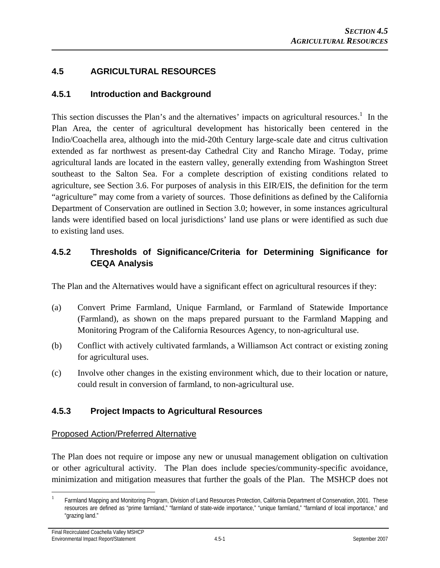# **4.5 AGRICULTURAL RESOURCES**

### **4.5.1 Introduction and Background**

This section discusses the Plan's and the alternatives' impacts on agricultural resources.<sup>1</sup> In the Plan Area, the center of agricultural development has historically been centered in the Indio/Coachella area, although into the mid-20th Century large-scale date and citrus cultivation extended as far northwest as present-day Cathedral City and Rancho Mirage. Today, prime agricultural lands are located in the eastern valley, generally extending from Washington Street southeast to the Salton Sea. For a complete description of existing conditions related to agriculture, see Section 3.6. For purposes of analysis in this EIR/EIS, the definition for the term "agriculture" may come from a variety of sources. Those definitions as defined by the California Department of Conservation are outlined in Section 3.0; however, in some instances agricultural lands were identified based on local jurisdictions' land use plans or were identified as such due to existing land uses.

# **4.5.2 Thresholds of Significance/Criteria for Determining Significance for CEQA Analysis**

The Plan and the Alternatives would have a significant effect on agricultural resources if they:

- (a) Convert Prime Farmland, Unique Farmland, or Farmland of Statewide Importance (Farmland), as shown on the maps prepared pursuant to the Farmland Mapping and Monitoring Program of the California Resources Agency, to non-agricultural use.
- (b) Conflict with actively cultivated farmlands, a Williamson Act contract or existing zoning for agricultural uses.
- (c) Involve other changes in the existing environment which, due to their location or nature, could result in conversion of farmland, to non-agricultural use.

# **4.5.3 Project Impacts to Agricultural Resources**

### Proposed Action/Preferred Alternative

The Plan does not require or impose any new or unusual management obligation on cultivation or other agricultural activity. The Plan does include species/community-specific avoidance, minimization and mitigation measures that further the goals of the Plan. The MSHCP does not

 $\overline{a}$ 1 Farmland Mapping and Monitoring Program, Division of Land Resources Protection, California Department of Conservation, 2001. These resources are defined as "prime farmland," "farmland of state-wide importance," "unique farmland," "farmland of local importance," and "grazing land."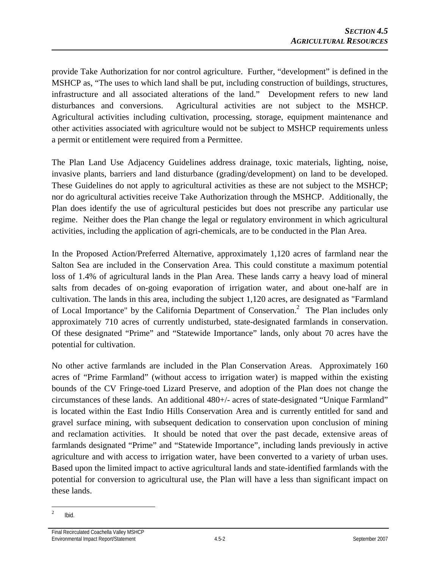provide Take Authorization for nor control agriculture. Further, "development" is defined in the MSHCP as, "The uses to which land shall be put, including construction of buildings, structures, infrastructure and all associated alterations of the land." Development refers to new land disturbances and conversions. Agricultural activities are not subject to the MSHCP. Agricultural activities including cultivation, processing, storage, equipment maintenance and other activities associated with agriculture would not be subject to MSHCP requirements unless a permit or entitlement were required from a Permittee.

The Plan Land Use Adjacency Guidelines address drainage, toxic materials, lighting, noise, invasive plants, barriers and land disturbance (grading/development) on land to be developed. These Guidelines do not apply to agricultural activities as these are not subject to the MSHCP; nor do agricultural activities receive Take Authorization through the MSHCP. Additionally, the Plan does identify the use of agricultural pesticides but does not prescribe any particular use regime. Neither does the Plan change the legal or regulatory environment in which agricultural activities, including the application of agri-chemicals, are to be conducted in the Plan Area.

In the Proposed Action/Preferred Alternative, approximately 1,120 acres of farmland near the Salton Sea are included in the Conservation Area. This could constitute a maximum potential loss of 1.4% of agricultural lands in the Plan Area. These lands carry a heavy load of mineral salts from decades of on-going evaporation of irrigation water, and about one-half are in cultivation. The lands in this area, including the subject 1,120 acres, are designated as "Farmland of Local Importance" by the California Department of Conservation.<sup>2</sup> The Plan includes only approximately 710 acres of currently undisturbed, state-designated farmlands in conservation. Of these designated "Prime" and "Statewide Importance" lands, only about 70 acres have the potential for cultivation.

No other active farmlands are included in the Plan Conservation Areas. Approximately 160 acres of "Prime Farmland" (without access to irrigation water) is mapped within the existing bounds of the CV Fringe-toed Lizard Preserve, and adoption of the Plan does not change the circumstances of these lands. An additional 480+/- acres of state-designated "Unique Farmland" is located within the East Indio Hills Conservation Area and is currently entitled for sand and gravel surface mining, with subsequent dedication to conservation upon conclusion of mining and reclamation activities. It should be noted that over the past decade, extensive areas of farmlands designated "Prime" and "Statewide Importance", including lands previously in active agriculture and with access to irrigation water, have been converted to a variety of urban uses. Based upon the limited impact to active agricultural lands and state-identified farmlands with the potential for conversion to agricultural use, the Plan will have a less than significant impact on these lands.

 $\overline{a}$ 2 Ibid.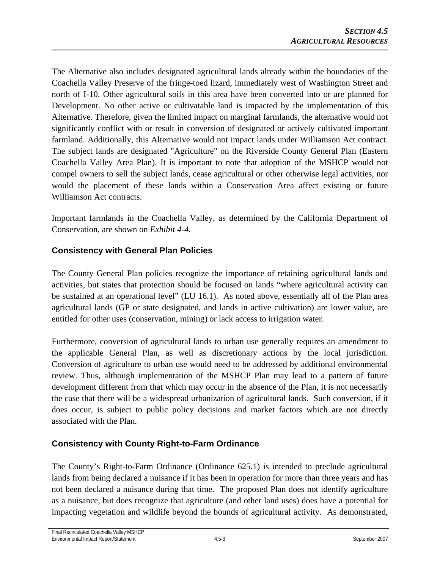The Alternative also includes designated agricultural lands already within the boundaries of the Coachella Valley Preserve of the fringe-toed lizard, immediately west of Washington Street and north of I-10. Other agricultural soils in this area have been converted into or are planned for Development. No other active or cultivatable land is impacted by the implementation of this Alternative. Therefore, given the limited impact on marginal farmlands, the alternative would not significantly conflict with or result in conversion of designated or actively cultivated important farmland. Additionally, this Alternative would not impact lands under Williamson Act contract. The subject lands are designated "Agriculture" on the Riverside County General Plan (Eastern Coachella Valley Area Plan). It is important to note that adoption of the MSHCP would not compel owners to sell the subject lands, cease agricultural or other otherwise legal activities, nor would the placement of these lands within a Conservation Area affect existing or future Williamson Act contracts.

Important farmlands in the Coachella Valley, as determined by the California Department of Conservation, are shown on *Exhibit 4-4*.

# **Consistency with General Plan Policies**

The County General Plan policies recognize the importance of retaining agricultural lands and activities, but states that protection should be focused on lands "where agricultural activity can be sustained at an operational level" (LU 16.1). As noted above, essentially all of the Plan area agricultural lands (GP or state designated, and lands in active cultivation) are lower value, are entitled for other uses (conservation, mining) or lack access to irrigation water.

Furthermore, conversion of agricultural lands to urban use generally requires an amendment to the applicable General Plan, as well as discretionary actions by the local jurisdiction. Conversion of agriculture to urban use would need to be addressed by additional environmental review. Thus, although implementation of the MSHCP Plan may lead to a pattern of future development different from that which may occur in the absence of the Plan, it is not necessarily the case that there will be a widespread urbanization of agricultural lands. Such conversion, if it does occur, is subject to public policy decisions and market factors which are not directly associated with the Plan.

# **Consistency with County Right-to-Farm Ordinance**

The County's Right-to-Farm Ordinance (Ordinance 625.1) is intended to preclude agricultural lands from being declared a nuisance if it has been in operation for more than three years and has not been declared a nuisance during that time. The proposed Plan does not identify agriculture as a nuisance, but does recognize that agriculture (and other land uses) does have a potential for impacting vegetation and wildlife beyond the bounds of agricultural activity. As demonstrated,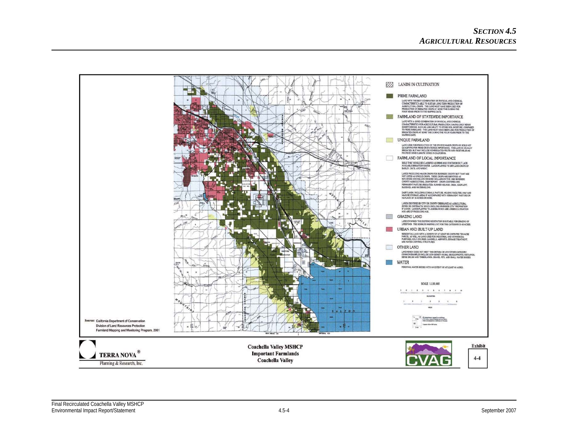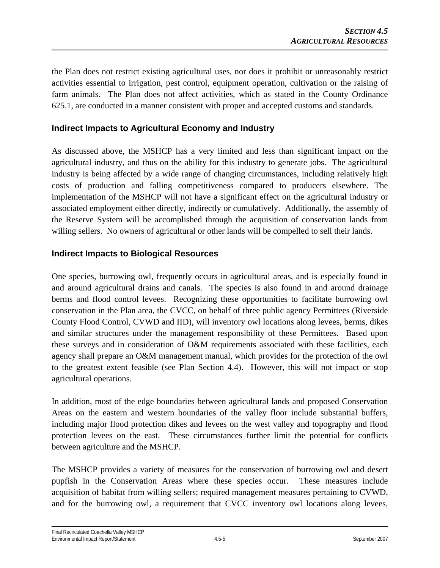the Plan does not restrict existing agricultural uses, nor does it prohibit or unreasonably restrict activities essential to irrigation, pest control, equipment operation, cultivation or the raising of farm animals. The Plan does not affect activities, which as stated in the County Ordinance 625.1, are conducted in a manner consistent with proper and accepted customs and standards.

### **Indirect Impacts to Agricultural Economy and Industry**

As discussed above, the MSHCP has a very limited and less than significant impact on the agricultural industry, and thus on the ability for this industry to generate jobs. The agricultural industry is being affected by a wide range of changing circumstances, including relatively high costs of production and falling competitiveness compared to producers elsewhere. The implementation of the MSHCP will not have a significant effect on the agricultural industry or associated employment either directly, indirectly or cumulatively. Additionally, the assembly of the Reserve System will be accomplished through the acquisition of conservation lands from willing sellers. No owners of agricultural or other lands will be compelled to sell their lands.

### **Indirect Impacts to Biological Resources**

One species, burrowing owl, frequently occurs in agricultural areas, and is especially found in and around agricultural drains and canals. The species is also found in and around drainage berms and flood control levees. Recognizing these opportunities to facilitate burrowing owl conservation in the Plan area, the CVCC, on behalf of three public agency Permittees (Riverside County Flood Control, CVWD and IID), will inventory owl locations along levees, berms, dikes and similar structures under the management responsibility of these Permittees. Based upon these surveys and in consideration of O&M requirements associated with these facilities, each agency shall prepare an O&M management manual, which provides for the protection of the owl to the greatest extent feasible (see Plan Section 4.4). However, this will not impact or stop agricultural operations.

In addition, most of the edge boundaries between agricultural lands and proposed Conservation Areas on the eastern and western boundaries of the valley floor include substantial buffers, including major flood protection dikes and levees on the west valley and topography and flood protection levees on the east. These circumstances further limit the potential for conflicts between agriculture and the MSHCP.

The MSHCP provides a variety of measures for the conservation of burrowing owl and desert pupfish in the Conservation Areas where these species occur. These measures include acquisition of habitat from willing sellers; required management measures pertaining to CVWD, and for the burrowing owl, a requirement that CVCC inventory owl locations along levees,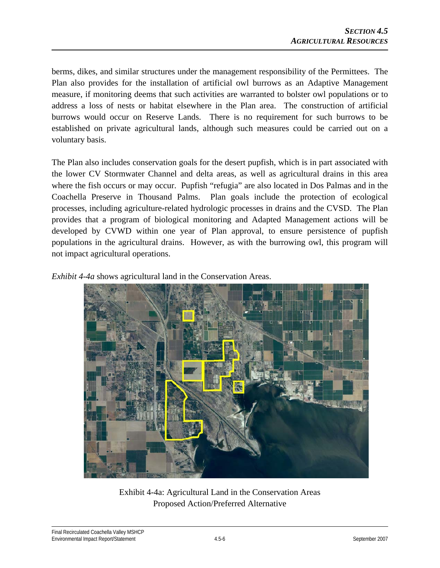berms, dikes, and similar structures under the management responsibility of the Permittees. The Plan also provides for the installation of artificial owl burrows as an Adaptive Management measure, if monitoring deems that such activities are warranted to bolster owl populations or to address a loss of nests or habitat elsewhere in the Plan area. The construction of artificial burrows would occur on Reserve Lands. There is no requirement for such burrows to be established on private agricultural lands, although such measures could be carried out on a voluntary basis.

The Plan also includes conservation goals for the desert pupfish, which is in part associated with the lower CV Stormwater Channel and delta areas, as well as agricultural drains in this area where the fish occurs or may occur. Pupfish "refugia" are also located in Dos Palmas and in the Coachella Preserve in Thousand Palms. Plan goals include the protection of ecological processes, including agriculture-related hydrologic processes in drains and the CVSD. The Plan provides that a program of biological monitoring and Adapted Management actions will be developed by CVWD within one year of Plan approval, to ensure persistence of pupfish populations in the agricultural drains. However, as with the burrowing owl, this program will not impact agricultural operations.

*Exhibit 4-4a* shows agricultural land in the Conservation Areas.



Exhibit 4-4a: Agricultural Land in the Conservation Areas Proposed Action/Preferred Alternative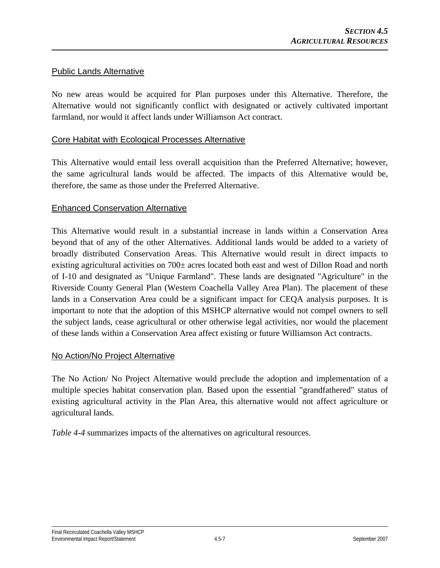#### Public Lands Alternative

No new areas would be acquired for Plan purposes under this Alternative. Therefore, the Alternative would not significantly conflict with designated or actively cultivated important farmland, nor would it affect lands under Williamson Act contract.

#### Core Habitat with Ecological Processes Alternative

This Alternative would entail less overall acquisition than the Preferred Alternative; however, the same agricultural lands would be affected. The impacts of this Alternative would be, therefore, the same as those under the Preferred Alternative.

#### Enhanced Conservation Alternative

This Alternative would result in a substantial increase in lands within a Conservation Area beyond that of any of the other Alternatives. Additional lands would be added to a variety of broadly distributed Conservation Areas. This Alternative would result in direct impacts to existing agricultural activities on 700± acres located both east and west of Dillon Road and north of I-10 and designated as "Unique Farmland". These lands are designated "Agriculture" in the Riverside County General Plan (Western Coachella Valley Area Plan). The placement of these lands in a Conservation Area could be a significant impact for CEQA analysis purposes. It is important to note that the adoption of this MSHCP alternative would not compel owners to sell the subject lands, cease agricultural or other otherwise legal activities, nor would the placement of these lands within a Conservation Area affect existing or future Williamson Act contracts.

#### No Action/No Project Alternative

The No Action/ No Project Alternative would preclude the adoption and implementation of a multiple species habitat conservation plan. Based upon the essential "grandfathered" status of existing agricultural activity in the Plan Area, this alternative would not affect agriculture or agricultural lands.

*Table 4-4* summarizes impacts of the alternatives on agricultural resources.